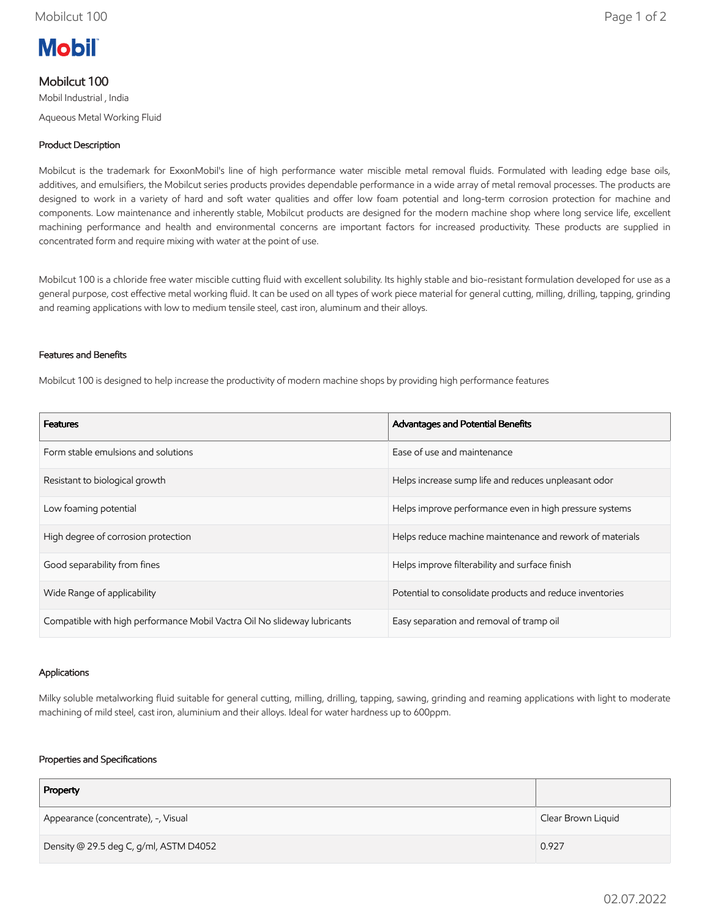

# Mobilcut 100

Mobil Industrial , India Aqueous Metal Working Fluid

## Product Description

Mobilcut is the trademark for ExxonMobil's line of high performance water miscible metal removal fluids. Formulated with leading edge base oils, additives, and emulsifiers, the Mobilcut series products provides dependable performance in a wide array of metal removal processes. The products are designed to work in a variety of hard and soft water qualities and offer low foam potential and long-term corrosion protection for machine and components. Low maintenance and inherently stable, Mobilcut products are designed for the modern machine shop where long service life, excellent machining performance and health and environmental concerns are important factors for increased productivity. These products are supplied in concentrated form and require mixing with water at the point of use.

Mobilcut 100 is a chloride free water miscible cutting fluid with excellent solubility. Its highly stable and bio-resistant formulation developed for use as a general purpose, cost effective metal working fluid. It can be used on all types of work piece material for general cutting, milling, drilling, tapping, grinding and reaming applications with low to medium tensile steel, cast iron, aluminum and their alloys.

### Features and Benefits

Mobilcut 100 is designed to help increase the productivity of modern machine shops by providing high performance features

| <b>Features</b>                                                          | Advantages and Potential Benefits                        |
|--------------------------------------------------------------------------|----------------------------------------------------------|
| Form stable emulsions and solutions                                      | Ease of use and maintenance                              |
| Resistant to biological growth                                           | Helps increase sump life and reduces unpleasant odor     |
| Low foaming potential                                                    | Helps improve performance even in high pressure systems  |
| High degree of corrosion protection                                      | Helps reduce machine maintenance and rework of materials |
| Good separability from fines                                             | Helps improve filterability and surface finish           |
| Wide Range of applicability                                              | Potential to consolidate products and reduce inventories |
| Compatible with high performance Mobil Vactra Oil No slideway lubricants | Easy separation and removal of tramp oil                 |

### Applications

Milky soluble metalworking fluid suitable for general cutting, milling, drilling, tapping, sawing, grinding and reaming applications with light to moderate machining of mild steel, cast iron, aluminium and their alloys. Ideal for water hardness up to 600ppm.

### Properties and Specifications

| Property                               |                    |
|----------------------------------------|--------------------|
| Appearance (concentrate), -, Visual    | Clear Brown Liquid |
| Density @ 29.5 deg C, g/ml, ASTM D4052 | 0.927              |